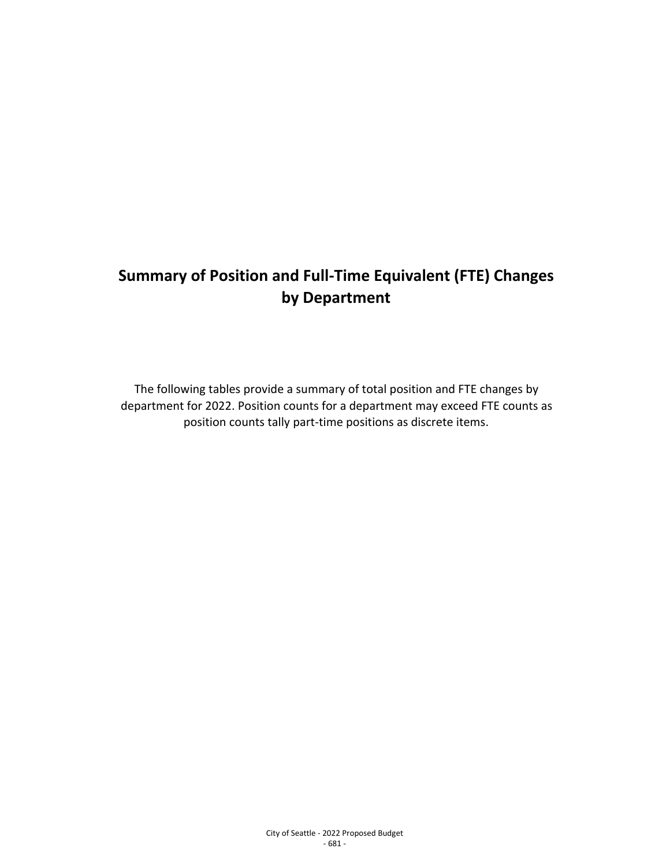# **Summary of Position and Full‐Time Equivalent (FTE) Changes by Department**

The following tables provide a summary of total position and FTE changes by department for 2022. Position counts for a department may exceed FTE counts as position counts tally part‐time positions as discrete items.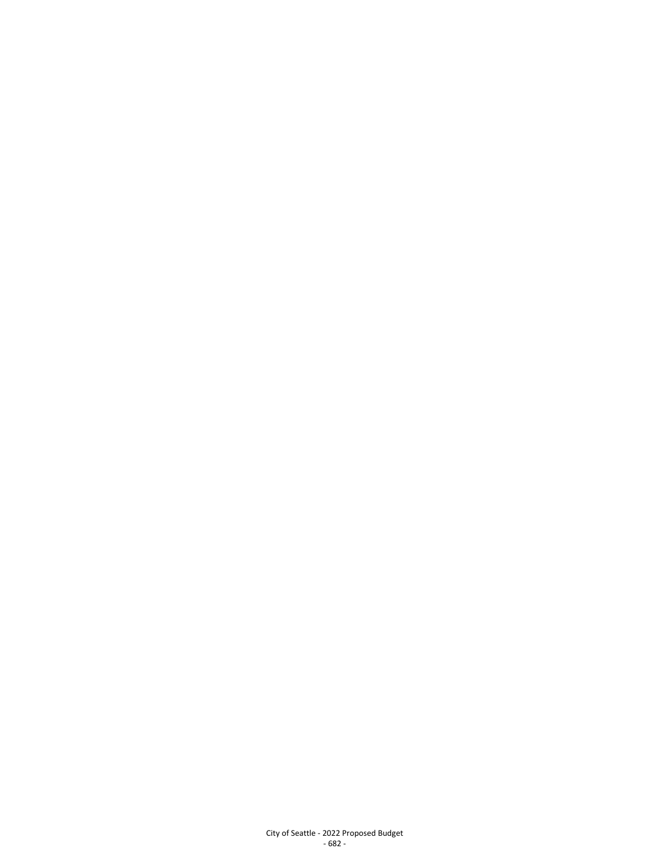## City of Seattle - 2022 Proposed Budget - 682 -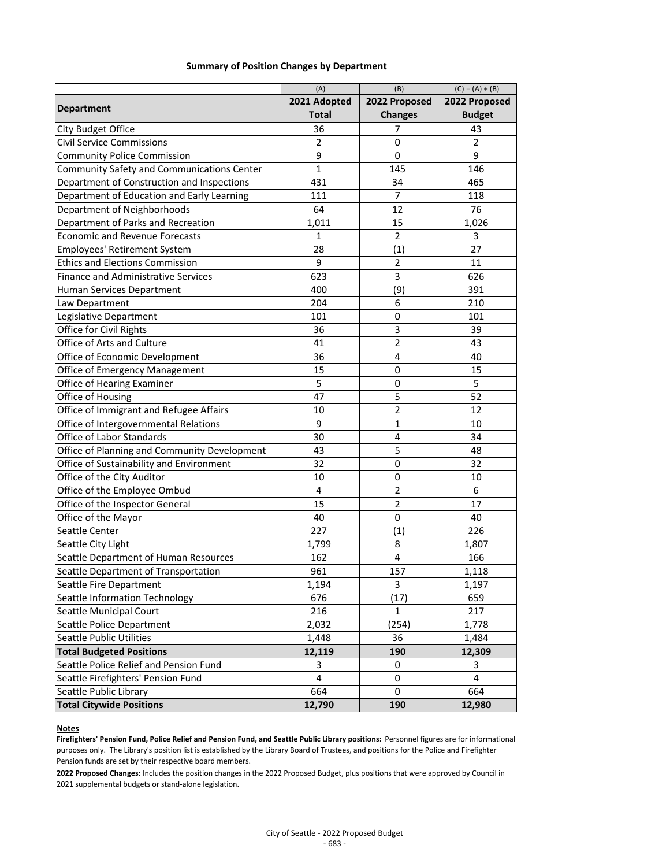|                                              | (A)            | (B)                     | $(C) = (A) + (B)$ |
|----------------------------------------------|----------------|-------------------------|-------------------|
|                                              | 2021 Adopted   | 2022 Proposed           | 2022 Proposed     |
| <b>Department</b>                            | <b>Total</b>   | <b>Changes</b>          | <b>Budget</b>     |
| City Budget Office                           | 36             | 7                       | 43                |
| <b>Civil Service Commissions</b>             | 2              | 0                       | 2                 |
| <b>Community Police Commission</b>           | 9              | $\mathbf 0$             | 9                 |
| Community Safety and Communications Center   | 1              | 145                     | 146               |
| Department of Construction and Inspections   | 431            | 34                      | 465               |
| Department of Education and Early Learning   | 111            | 7                       | 118               |
| Department of Neighborhoods                  | 64             | 12                      | 76                |
| Department of Parks and Recreation           | 1,011          | 15                      | 1,026             |
| <b>Economic and Revenue Forecasts</b>        | $\mathbf{1}$   | $\overline{2}$          | 3                 |
| <b>Employees' Retirement System</b>          | 28             | (1)                     | 27                |
| <b>Ethics and Elections Commission</b>       | 9              | $\overline{2}$          | 11                |
| <b>Finance and Administrative Services</b>   | 623            | 3                       | 626               |
| Human Services Department                    | 400            | (9)                     | 391               |
| Law Department                               | 204            | 6                       | 210               |
| Legislative Department                       | 101            | 0                       | 101               |
| Office for Civil Rights                      | 36             | 3                       | 39                |
| Office of Arts and Culture                   | 41             | $\overline{2}$          | 43                |
| Office of Economic Development               | 36             | 4                       | 40                |
| Office of Emergency Management               | 15             | 0                       | 15                |
| Office of Hearing Examiner                   | 5              | 0                       | 5                 |
| Office of Housing                            | 47             | 5                       | 52                |
| Office of Immigrant and Refugee Affairs      | 10             | $\overline{\mathbf{c}}$ | 12                |
| Office of Intergovernmental Relations        | 9              | 1                       | 10                |
| Office of Labor Standards                    | 30             | 4                       | 34                |
| Office of Planning and Community Development | 43             | 5                       | 48                |
| Office of Sustainability and Environment     | 32             | 0                       | 32                |
| Office of the City Auditor                   | 10             | 0                       | 10                |
| Office of the Employee Ombud                 | $\overline{4}$ | $\overline{2}$          | 6                 |
| Office of the Inspector General              | 15             | $\overline{2}$          | 17                |
| Office of the Mayor                          | 40             | 0                       | 40                |
| Seattle Center                               | 227            | (1)                     | 226               |
| Seattle City Light                           | 1,799          | 8                       | 1,807             |
| Seattle Department of Human Resources        | 162            | 4                       | 166               |
| Seattle Department of Transportation         | 961            | 157                     | 1,118             |
| Seattle Fire Department                      | 1,194          | 3                       | 1,197             |
| Seattle Information Technology               | 676            | (17)                    | 659               |
| Seattle Municipal Court                      | 216            | 1                       | 217               |
| Seattle Police Department                    | 2,032          | (254)                   | 1,778             |
| Seattle Public Utilities                     | 1,448          | 36                      | 1,484             |
| <b>Total Budgeted Positions</b>              | 12,119         | 190                     | 12,309            |
| Seattle Police Relief and Pension Fund       | 3              | 0                       | 3                 |
| Seattle Firefighters' Pension Fund           | 4              | 0                       | 4                 |
| Seattle Public Library                       | 664            | 0                       | 664               |
| <b>Total Citywide Positions</b>              | 12,790         | 190                     | 12,980            |

### **Summary of Position Changes by Department**

### **Notes**

Firefighters' Pension Fund, Police Relief and Pension Fund, and Seattle Public Library positions: Personnel figures are for informational purposes only. The Library's position list is established by the Library Board of Trustees, and positions for the Police and Firefighter Pension funds are set by their respective board members.

**2022 Proposed Changes:** Includes the position changes in the 2022 Proposed Budget, plus positions that were approved by Council in 2021 supplemental budgets or stand‐alone legislation.